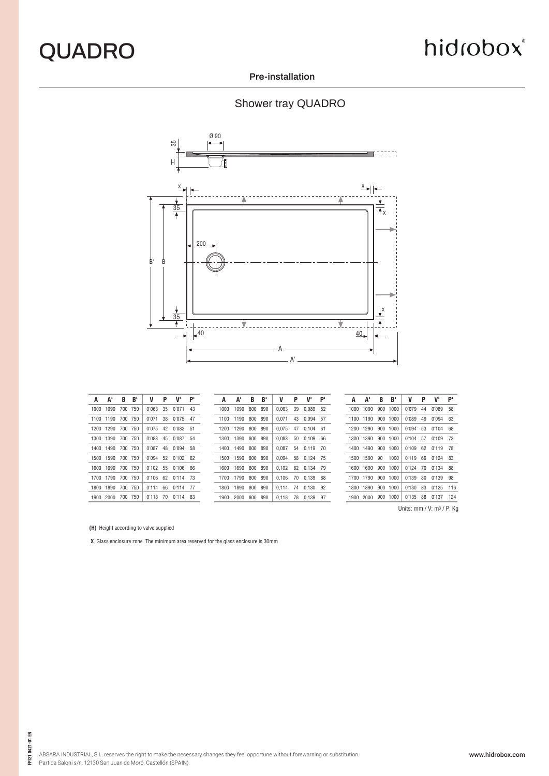

#### hidrobox®

**Pre-installation**

#### Shower tray QUADRO



| А'                | B   | - B' | v        | P | v.                | P'   |      | А'                | B   | B'      | V     | P  | v                   | P' |  | А'                 | B | B'                 | V                                     | P | V'                 | P'   |
|-------------------|-----|------|----------|---|-------------------|------|------|-------------------|-----|---------|-------|----|---------------------|----|--|--------------------|---|--------------------|---------------------------------------|---|--------------------|------|
| 1000 1090         | 700 | 750  | 0'063 35 |   | 0'071             | 43   | 1000 | 1090              | 800 | 890     | 0.063 | 39 | 0.089               | 52 |  | 1000 1090          |   | 900 1000           | 0'079 44                              |   | 0'089              | -58  |
| 1100 1190 700 750 |     |      |          |   | 0'071 38 0'075    | -47  | 1100 | 1190              |     | 800 890 | 0.071 | 43 | 0.094 57            |    |  | 1100 1190 900 1000 |   |                    | 0'089 49                              |   | 0'094              | - 63 |
| 1200 1290 700 750 |     |      |          |   | 0'075 42 0'083    | -51  | 1200 | 1290              |     | 800 890 | 0.075 | 47 | $0.104$ 61          |    |  | 1200 1290 900 1000 |   |                    |                                       |   | 0'094 53 0'104 68  |      |
| 1300 1390 700 750 |     |      |          |   | 0'083 45 0'087 54 |      | 1300 | 1390              |     | 800 890 | 0.083 |    | 50 0.109 66         |    |  | 1300 1390 900 1000 |   |                    | 0.104 57                              |   | 0'109              | - 73 |
| 1400 1490 700 750 |     |      |          |   | 0'087 48 0'094    | -58  |      | 1400 1490 800 890 |     |         | 0.087 |    | 54 0.119 70         |    |  | 1400 1490 900 1000 |   |                    |                                       |   | 0'109 62 0'119 78  |      |
| 1500 1590 700 750 |     |      |          |   | 0'094 52 0'102    | - 62 | 1500 | 1590 800 890      |     |         |       |    | 0.094 58 0.124 75   |    |  | 1500 1590 90       |   | 1000               |                                       |   | 0'119 66 0'124 83  |      |
| 1600 1690 700 750 |     |      |          |   | 0'102 55 0'106 66 |      | 1600 | 1690              |     | 800 890 |       |    | $0.102$ 62 0.134 79 |    |  | 1600 1690 900 1000 |   |                    |                                       |   | 0'124 70 0'134 88  |      |
| 1700 1790 700 750 |     |      |          |   | 0'106 62 0'114 73 |      | 1700 | 1790              |     | 800 890 | 0.106 |    | 70 0.139 88         |    |  | 1700 1790 900 1000 |   |                    |                                       |   | 0'139 80 0'139 98  |      |
| 1800 1890 700 750 |     |      |          |   | 0'114 66 0'114 77 |      | 1800 | 1890              |     | 800 890 |       |    | 0.114 74 0.130 92   |    |  | 1800 1890 900 1000 |   |                    |                                       |   | 0'130 83 0'125 116 |      |
| 1900 2000 700 750 |     |      |          |   | 0'118 70 0'114 83 |      |      | 1900 2000 800 890 |     |         |       |    | 0.118 78 0.139 97   |    |  |                    |   | 1900 2000 900 1000 |                                       |   | 0'135 88 0'137 124 |      |
|                   |     |      |          |   |                   |      |      |                   |     |         |       |    |                     |    |  |                    |   |                    | Units: mm / V: m <sup>3</sup> / P: Ko |   |                    |      |

**(H)** Height according to valve supplied

**FPI21 0421-01 EN**

FPI210421-01 EN

 **X** Glass enclosure zone. The minimum area reserved for the glass enclosure is 30mm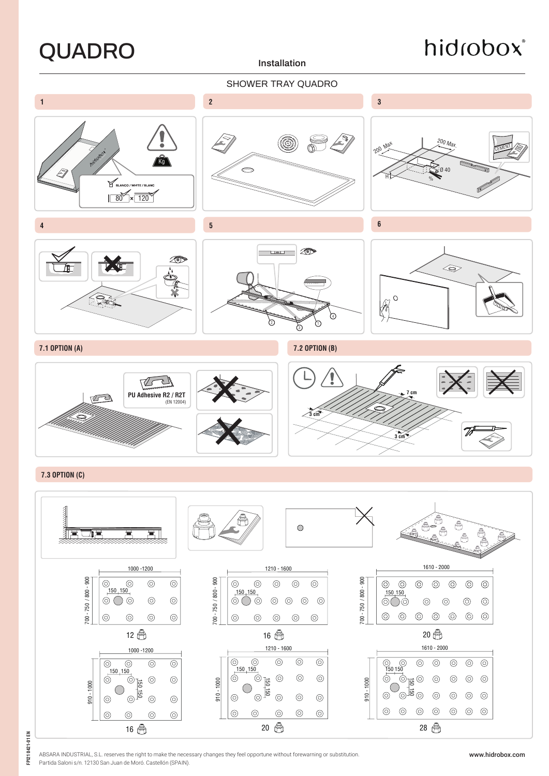# QUADRO **Installation**

# hidrobox®



#### **7.3 OPTION (C)**



ABSARA INDUSTRIAL, S.L. reserves the right to make the necessary changes they feel opportune without forewarning or substitution. Partida Saloni s/n. 12130 San Juan de Moró. Castellón (SPAIN).